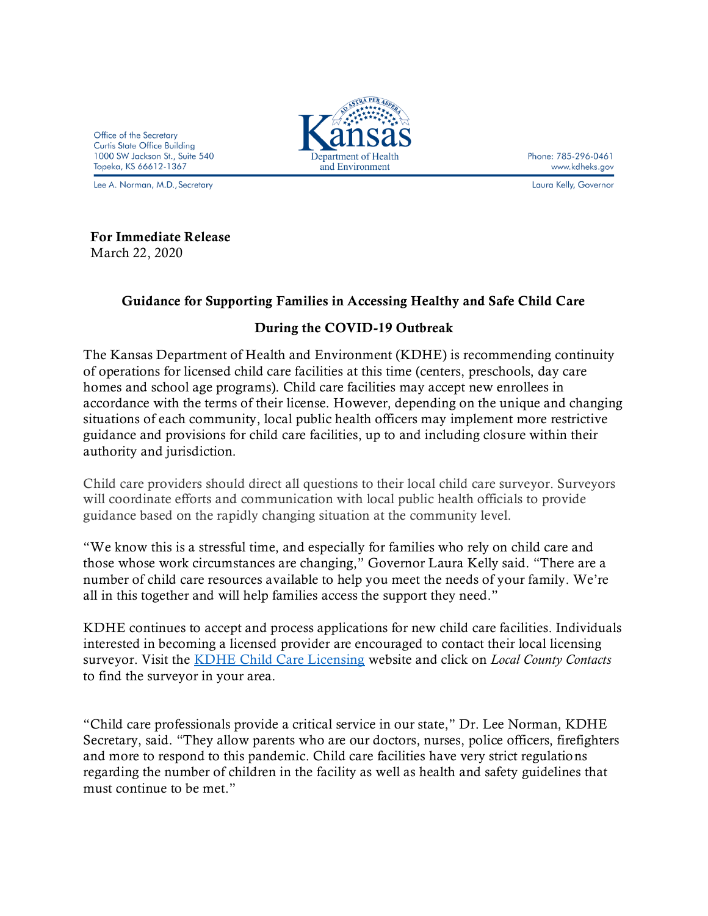Office of the Secretary **Curtis State Office Building** 1000 SW Jackson St., Suite 540 Topeka, KS 66612-1367

Lee A. Norman, M.D., Secretary



Phone: 785-296-0461 www.kdheks.gov

Laura Kelly, Governor

## For Immediate Release

March 22, 2020

## Guidance for Supporting Families in Accessing Healthy and Safe Child Care

## During the COVID-19 Outbreak

The Kansas Department of Health and Environment (KDHE) is recommending continuity of operations for licensed child care facilities at this time (centers, preschools, day care homes and school age programs). Child care facilities may accept new enrollees in accordance with the terms of their license. However, depending on the unique and changing situations of each community, local public health officers may implement more restrictive guidance and provisions for child care facilities, up to and including closure within their authority and jurisdiction.

Child care providers should direct all questions to their local child care surveyor. Surveyors will coordinate efforts and communication with local public health officials to provide guidance based on the rapidly changing situation at the community level.

"We know this is a stressful time, and especially for families who rely on child care and those whose work circumstances are changing," Governor Laura Kelly said. "There are a number of child care resources available to help you meet the needs of your family. We're all in this together and will help families access the support they need."

KDHE continues to accept and process applications for new child care facilities. Individuals interested in becoming a licensed provider are encouraged to contact their local licensing surveyor. Visit the [KDHE Child Care Licensing](https://gcc01.safelinks.protection.outlook.com/?url=http%3A%2F%2Fwww.kdheks.gov%2Fkidsnet&data=02%7C01%7CKristi.Zears%40ks.gov%7Cf36837ea5ab6452ab8ec08d7cc3db192%7Cdcae8101c92d480cbc43c6761ccccc5a%7C0%7C0%7C637202437645098229&sdata=NQcHLdrW8kAvNhtgv3YH087Jn4NLNkCuND%2BYTE1eiQg%3D&reserved=0) website and click on *Local County Contacts* to find the surveyor in your area.

"Child care professionals provide a critical service in our state," Dr. Lee Norman, KDHE Secretary, said. "They allow parents who are our doctors, nurses, police officers, firefighters and more to respond to this pandemic. Child care facilities have very strict regulations regarding the number of children in the facility as well as health and safety guidelines that must continue to be met."